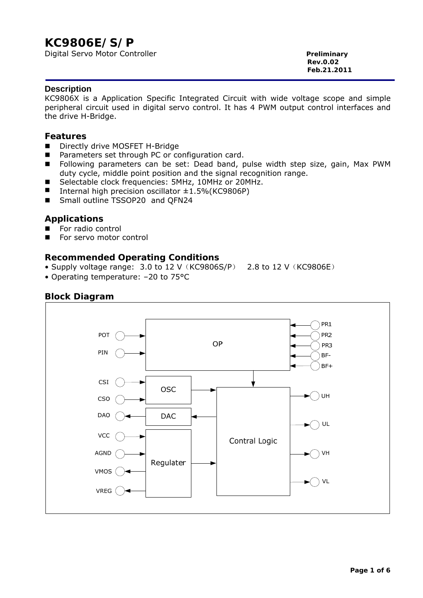# **KC9806E/S/P**

Digital Servo Motor Controller **Preliminary** 

**Rev.0.02 Feb.21.2011** 

#### **Description**

KC9806X is a Application Specific Integrated Circuit with wide voltage scope and simple peripheral circuit used in digital servo control. It has 4 PWM output control interfaces and the drive H-Bridge.

#### **Features**

- Directly drive MOSFET H-Bridge
- Parameters set through PC or configuration card.
- **Following parameters can be set: Dead band, pulse width step size, gain, Max PWM** duty cycle, middle point position and the signal recognition range.
- Selectable clock frequencies: 5MHz, 10MHz or 20MHz.
- Internal high precision oscillator  $±1.5\%$  (KC9806P)
- Small outline TSSOP20 and QFN24

## **Applications**

- For radio control
- For servo motor control

## **Recommended Operating Conditions**

- Supply voltage range: 3.0 to 12 V  $(KC9806S/P)$  2.8 to 12 V  $(KC9806E)$
- Operating temperature: –20 to 75°C

## **Block Diagram**

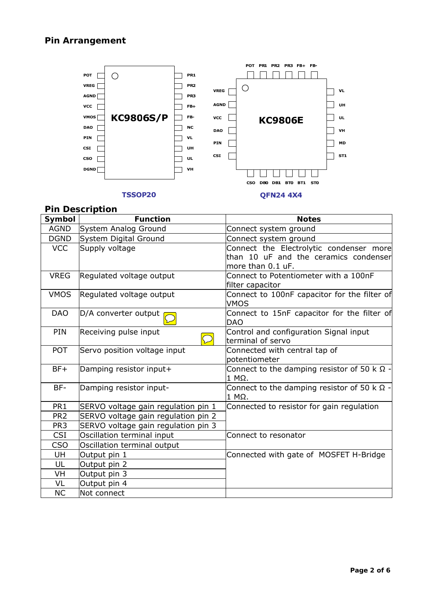

## **Pin Description**

| Symbol          | <b>Function</b>                     | <b>Notes</b>                                                                                          |
|-----------------|-------------------------------------|-------------------------------------------------------------------------------------------------------|
| AGND            | System Analog Ground                | Connect system ground                                                                                 |
| <b>DGND</b>     | System Digital Ground               | Connect system ground                                                                                 |
| <b>VCC</b>      | Supply voltage                      | Connect the Electrolytic condenser more<br>than 10 uF and the ceramics condenser<br>more than 0.1 uF. |
| <b>VREG</b>     | Regulated voltage output            | Connect to Potentiometer with a 100nF<br>filter capacitor                                             |
| <b>VMOS</b>     | Regulated voltage output            | Connect to 100nF capacitor for the filter of<br><b>VMOS</b>                                           |
| <b>DAO</b>      | D/A converter output                | Connect to 15nF capacitor for the filter of<br><b>DAO</b>                                             |
| PIN             | Receiving pulse input<br>$\subset$  | Control and configuration Signal input<br>terminal of servo                                           |
| <b>POT</b>      | Servo position voltage input        | Connected with central tap of<br>potentiometer                                                        |
| $BF+$           | Damping resistor input+             | Connect to the damping resistor of 50 k $\Omega$ -<br>1 MΩ.                                           |
| BF-             | Damping resistor input-             | Connect to the damping resistor of 50 k $\Omega$ -<br>$1$ M $\Omega$ .                                |
| PR <sub>1</sub> | SERVO voltage gain regulation pin 1 | Connected to resistor for gain regulation                                                             |
| PR <sub>2</sub> | SERVO voltage gain regulation pin 2 |                                                                                                       |
| PR <sub>3</sub> | SERVO voltage gain regulation pin 3 |                                                                                                       |
| <b>CSI</b>      | Oscillation terminal input          | Connect to resonator                                                                                  |
| CSO             | Oscillation terminal output         |                                                                                                       |
| UH              | Output pin 1                        | Connected with gate of MOSFET H-Bridge                                                                |
| UL              | Output pin 2                        |                                                                                                       |
| VH              | Output pin 3                        |                                                                                                       |
| VL              | Output pin 4                        |                                                                                                       |
| <b>NC</b>       | Not connect                         |                                                                                                       |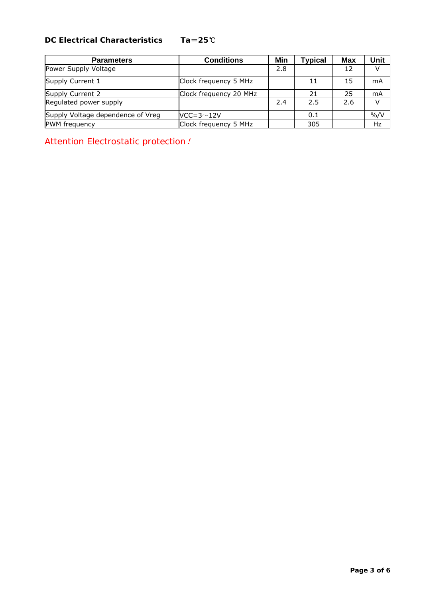## **DC Electrical Characteristics Ta**=**25**℃

| <b>Parameters</b>                 | <b>Conditions</b>      | Min | Typical | <b>Max</b> | Unit             |
|-----------------------------------|------------------------|-----|---------|------------|------------------|
| Power Supply Voltage              |                        | 2.8 |         | 12         | V                |
| Supply Current 1                  | Clock frequency 5 MHz  |     | 11      | 15         | mA               |
| Supply Current 2                  | Clock frequency 20 MHz |     | 21      | 25         | mA               |
| Regulated power supply            |                        | 2.4 | 2.5     | 2.6        | V                |
| Supply Voltage dependence of Vreg | $VCC=3~12V$            |     | 0.1     |            | $\frac{9}{6}$ /V |
| PWM frequency                     | Clock frequency 5 MHz  |     | 305     |            | Hz               |

*Attention Electrostatic protection*!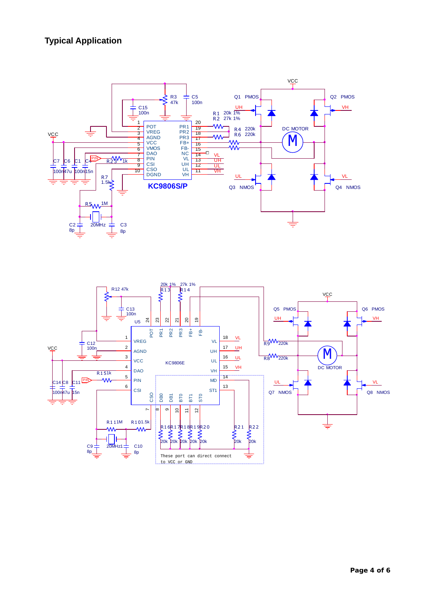## **Typical Application**



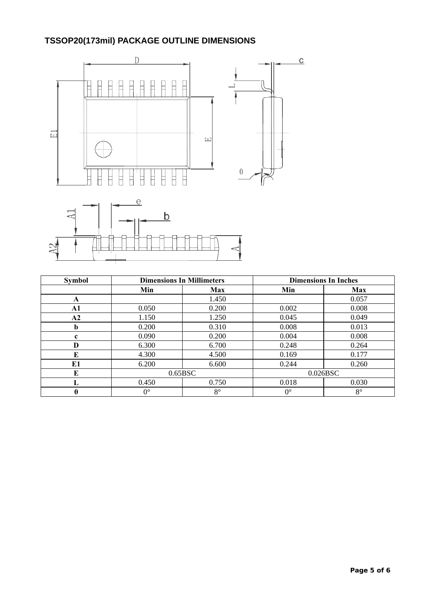# **TSSOP20(173mil) PACKAGE OUTLINE DIMENSIONS**



| <b>Symbol</b> | <b>Dimensions In Millimeters</b> |             | <b>Dimensions In Inches</b> |             |
|---------------|----------------------------------|-------------|-----------------------------|-------------|
|               | Min                              | <b>Max</b>  | Min                         | <b>Max</b>  |
| A             |                                  | 1.450       |                             | 0.057       |
| A1            | 0.050                            | 0.200       | 0.002                       | 0.008       |
| A2            | 1.150                            | 1.250       | 0.045                       | 0.049       |
| b             | 0.200                            | 0.310       | 0.008                       | 0.013       |
| c             | 0.090                            | 0.200       | 0.004                       | 0.008       |
| D             | 6.300                            | 6.700       | 0.248                       | 0.264       |
| E             | 4.300                            | 4.500       | 0.169                       | 0.177       |
| E1            | 6.200                            | 6.600       | 0.244                       | 0.260       |
| E             | 0.65BSC                          |             | 0.026BSC                    |             |
| L             | 0.450                            | 0.750       | 0.018                       | 0.030       |
| θ             | $0^{\circ}$                      | $8^{\circ}$ | $0^{\circ}$                 | $8^{\circ}$ |